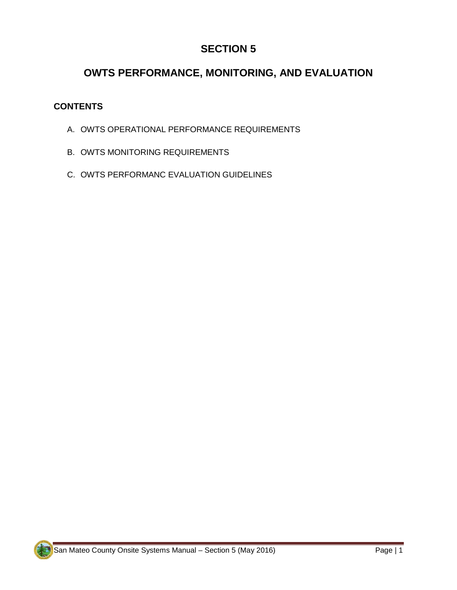# **SECTION 5**

# **OWTS PERFORMANCE, MONITORING, AND EVALUATION**

# **CONTENTS**

- A. OWTS OPERATIONAL PERFORMANCE REQUIREMENTS
- B. OWTS MONITORING REQUIREMENTS
- C. OWTS PERFORMANC EVALUATION GUIDELINES

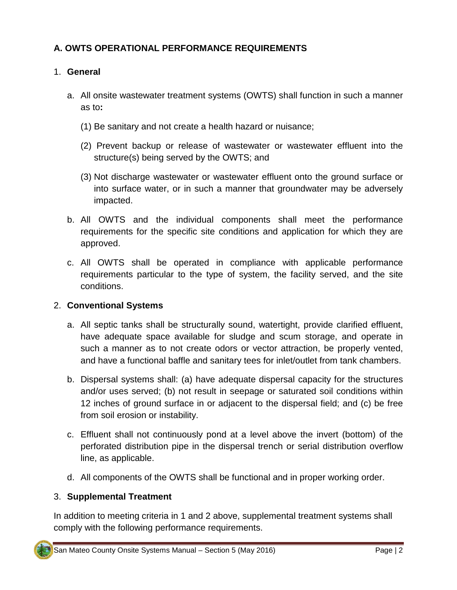# **A. OWTS OPERATIONAL PERFORMANCE REQUIREMENTS**

## 1. **General**

- a. All onsite wastewater treatment systems (OWTS) shall function in such a manner as to**:**
	- (1) Be sanitary and not create a health hazard or nuisance;
	- (2) Prevent backup or release of wastewater or wastewater effluent into the structure(s) being served by the OWTS; and
	- (3) Not discharge wastewater or wastewater effluent onto the ground surface or into surface water, or in such a manner that groundwater may be adversely impacted.
- b. All OWTS and the individual components shall meet the performance requirements for the specific site conditions and application for which they are approved.
- c. All OWTS shall be operated in compliance with applicable performance requirements particular to the type of system, the facility served, and the site conditions.

#### 2. **Conventional Systems**

- a. All septic tanks shall be structurally sound, watertight, provide clarified effluent, have adequate space available for sludge and scum storage, and operate in such a manner as to not create odors or vector attraction, be properly vented, and have a functional baffle and sanitary tees for inlet/outlet from tank chambers.
- b. Dispersal systems shall: (a) have adequate dispersal capacity for the structures and/or uses served; (b) not result in seepage or saturated soil conditions within 12 inches of ground surface in or adjacent to the dispersal field; and (c) be free from soil erosion or instability.
- c. Effluent shall not continuously pond at a level above the invert (bottom) of the perforated distribution pipe in the dispersal trench or serial distribution overflow line, as applicable.
- d. All components of the OWTS shall be functional and in proper working order.

# 3. **Supplemental Treatment**

In addition to meeting criteria in 1 and 2 above, supplemental treatment systems shall comply with the following performance requirements.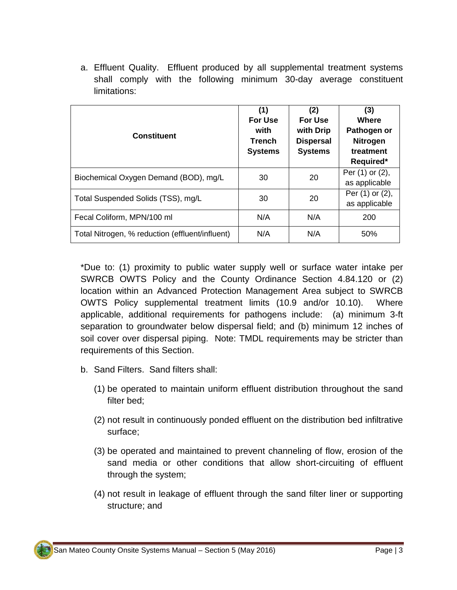a. Effluent Quality. Effluent produced by all supplemental treatment systems shall comply with the following minimum 30-day average constituent limitations:

| <b>Constituent</b>                              | (1)<br><b>For Use</b><br>with<br><b>Trench</b><br><b>Systems</b> | (2)<br>For Use<br>with Drip<br><b>Dispersal</b><br><b>Systems</b> | (3)<br><b>Where</b><br>Pathogen or<br><b>Nitrogen</b><br>treatment<br>Required* |
|-------------------------------------------------|------------------------------------------------------------------|-------------------------------------------------------------------|---------------------------------------------------------------------------------|
| Biochemical Oxygen Demand (BOD), mg/L           | 30                                                               | 20                                                                | Per (1) or (2),<br>as applicable                                                |
| Total Suspended Solids (TSS), mg/L              | 30                                                               | 20                                                                | Per (1) or (2),<br>as applicable                                                |
| Fecal Coliform, MPN/100 ml                      | N/A                                                              | N/A                                                               | 200                                                                             |
| Total Nitrogen, % reduction (effluent/influent) | N/A                                                              | N/A                                                               | 50%                                                                             |

\*Due to: (1) proximity to public water supply well or surface water intake per SWRCB OWTS Policy and the County Ordinance Section 4.84.120 or (2) location within an Advanced Protection Management Area subject to SWRCB OWTS Policy supplemental treatment limits (10.9 and/or 10.10). Where applicable, additional requirements for pathogens include: (a) minimum 3-ft separation to groundwater below dispersal field; and (b) minimum 12 inches of soil cover over dispersal piping. Note: TMDL requirements may be stricter than requirements of this Section.

- b. Sand Filters. Sand filters shall:
	- (1) be operated to maintain uniform effluent distribution throughout the sand filter bed;
	- (2) not result in continuously ponded effluent on the distribution bed infiltrative surface;
	- (3) be operated and maintained to prevent channeling of flow, erosion of the sand media or other conditions that allow short-circuiting of effluent through the system;
	- (4) not result in leakage of effluent through the sand filter liner or supporting structure; and

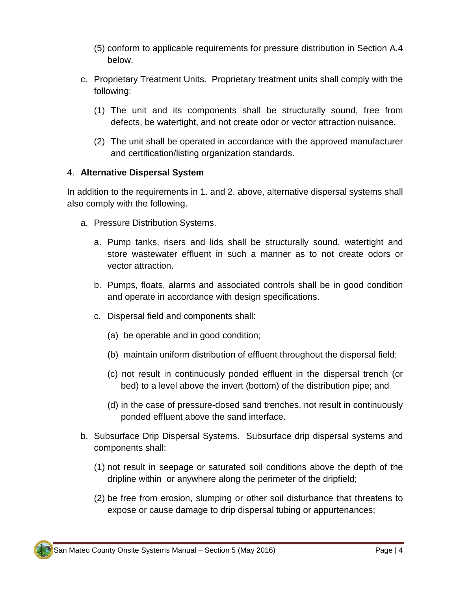- (5) conform to applicable requirements for pressure distribution in Section A.4 below.
- c. Proprietary Treatment Units.Proprietary treatment units shall comply with the following:
	- (1) The unit and its components shall be structurally sound, free from defects, be watertight, and not create odor or vector attraction nuisance.
	- (2) The unit shall be operated in accordance with the approved manufacturer and certification/listing organization standards.

#### 4. **Alternative Dispersal System**

In addition to the requirements in 1. and 2. above, alternative dispersal systems shall also comply with the following.

- a. Pressure Distribution Systems.
	- a. Pump tanks, risers and lids shall be structurally sound, watertight and store wastewater effluent in such a manner as to not create odors or vector attraction.
	- b. Pumps, floats, alarms and associated controls shall be in good condition and operate in accordance with design specifications.
	- c. Dispersal field and components shall:
		- (a) be operable and in good condition;
		- (b) maintain uniform distribution of effluent throughout the dispersal field;
		- (c) not result in continuously ponded effluent in the dispersal trench (or bed) to a level above the invert (bottom) of the distribution pipe; and
		- (d) in the case of pressure-dosed sand trenches, not result in continuously ponded effluent above the sand interface.
- b. Subsurface Drip Dispersal Systems. Subsurface drip dispersal systems and components shall:
	- (1) not result in seepage or saturated soil conditions above the depth of the dripline within or anywhere along the perimeter of the dripfield;
	- (2) be free from erosion, slumping or other soil disturbance that threatens to expose or cause damage to drip dispersal tubing or appurtenances;

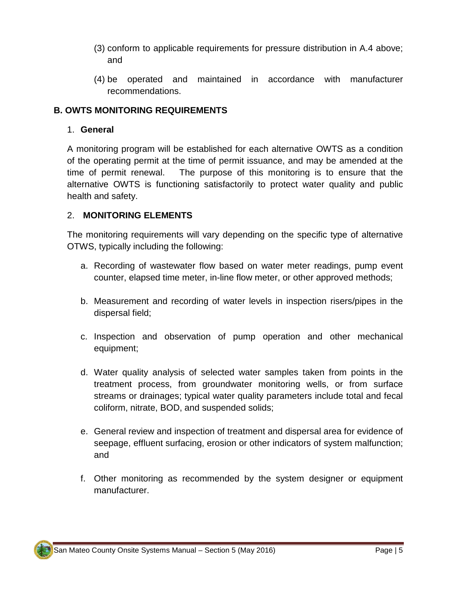- (3) conform to applicable requirements for pressure distribution in A.4 above; and
- (4) be operated and maintained in accordance with manufacturer recommendations.

## **B. OWTS MONITORING REQUIREMENTS**

#### 1. **General**

A monitoring program will be established for each alternative OWTS as a condition of the operating permit at the time of permit issuance, and may be amended at the time of permit renewal. The purpose of this monitoring is to ensure that the alternative OWTS is functioning satisfactorily to protect water quality and public health and safety.

#### 2. **MONITORING ELEMENTS**

The monitoring requirements will vary depending on the specific type of alternative OTWS, typically including the following:

- a. Recording of wastewater flow based on water meter readings, pump event counter, elapsed time meter, in-line flow meter, or other approved methods;
- b. Measurement and recording of water levels in inspection risers/pipes in the dispersal field;
- c. Inspection and observation of pump operation and other mechanical equipment;
- d. Water quality analysis of selected water samples taken from points in the treatment process, from groundwater monitoring wells, or from surface streams or drainages; typical water quality parameters include total and fecal coliform, nitrate, BOD, and suspended solids;
- e. General review and inspection of treatment and dispersal area for evidence of seepage, effluent surfacing, erosion or other indicators of system malfunction; and
- f. Other monitoring as recommended by the system designer or equipment manufacturer.

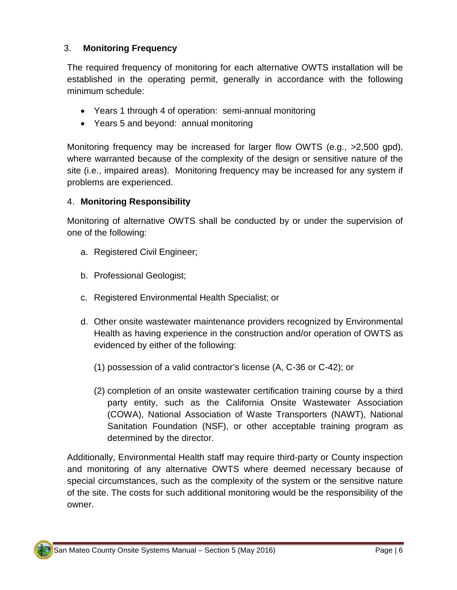# 3. **Monitoring Frequency**

The required frequency of monitoring for each alternative OWTS installation will be established in the operating permit, generally in accordance with the following minimum schedule:

- Years 1 through 4 of operation: semi-annual monitoring
- Years 5 and beyond: annual monitoring

Monitoring frequency may be increased for larger flow OWTS (e.g., >2,500 gpd), where warranted because of the complexity of the design or sensitive nature of the site (i.e., impaired areas). Monitoring frequency may be increased for any system if problems are experienced.

# 4. **Monitoring Responsibility**

Monitoring of alternative OWTS shall be conducted by or under the supervision of one of the following:

- a. Registered Civil Engineer;
- b. Professional Geologist;
- c. Registered Environmental Health Specialist; or
- d. Other onsite wastewater maintenance providers recognized by Environmental Health as having experience in the construction and/or operation of OWTS as evidenced by either of the following:
	- (1) possession of a valid contractor's license (A, C-36 or C-42); or
	- (2) completion of an onsite wastewater certification training course by a third party entity, such as the California Onsite Wastewater Association (COWA), National Association of Waste Transporters (NAWT), National Sanitation Foundation (NSF), or other acceptable training program as determined by the director.

Additionally, Environmental Health staff may require third-party or County inspection and monitoring of any alternative OWTS where deemed necessary because of special circumstances, such as the complexity of the system or the sensitive nature of the site. The costs for such additional monitoring would be the responsibility of the owner.

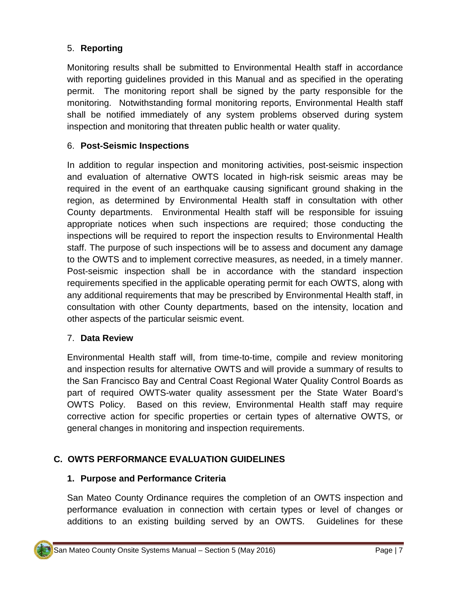# 5. **Reporting**

Monitoring results shall be submitted to Environmental Health staff in accordance with reporting guidelines provided in this Manual and as specified in the operating permit. The monitoring report shall be signed by the party responsible for the monitoring. Notwithstanding formal monitoring reports, Environmental Health staff shall be notified immediately of any system problems observed during system inspection and monitoring that threaten public health or water quality.

## 6. **Post-Seismic Inspections**

In addition to regular inspection and monitoring activities, post-seismic inspection and evaluation of alternative OWTS located in high-risk seismic areas may be required in the event of an earthquake causing significant ground shaking in the region, as determined by Environmental Health staff in consultation with other County departments. Environmental Health staff will be responsible for issuing appropriate notices when such inspections are required; those conducting the inspections will be required to report the inspection results to Environmental Health staff. The purpose of such inspections will be to assess and document any damage to the OWTS and to implement corrective measures, as needed, in a timely manner. Post-seismic inspection shall be in accordance with the standard inspection requirements specified in the applicable operating permit for each OWTS, along with any additional requirements that may be prescribed by Environmental Health staff, in consultation with other County departments, based on the intensity, location and other aspects of the particular seismic event.

#### 7. **Data Review**

Environmental Health staff will, from time-to-time, compile and review monitoring and inspection results for alternative OWTS and will provide a summary of results to the San Francisco Bay and Central Coast Regional Water Quality Control Boards as part of required OWTS-water quality assessment per the State Water Board's OWTS Policy. Based on this review, Environmental Health staff may require corrective action for specific properties or certain types of alternative OWTS, or general changes in monitoring and inspection requirements.

# **C. OWTS PERFORMANCE EVALUATION GUIDELINES**

#### **1. Purpose and Performance Criteria**

San Mateo County Ordinance requires the completion of an OWTS inspection and performance evaluation in connection with certain types or level of changes or additions to an existing building served by an OWTS. Guidelines for these

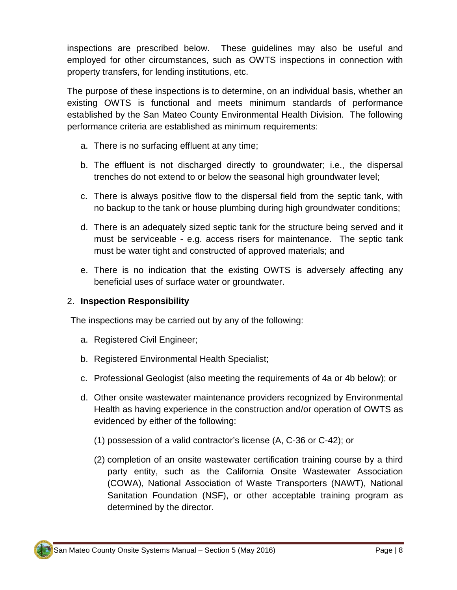inspections are prescribed below. These guidelines may also be useful and employed for other circumstances, such as OWTS inspections in connection with property transfers, for lending institutions, etc.

The purpose of these inspections is to determine, on an individual basis, whether an existing OWTS is functional and meets minimum standards of performance established by the San Mateo County Environmental Health Division. The following performance criteria are established as minimum requirements:

- a. There is no surfacing effluent at any time;
- b. The effluent is not discharged directly to groundwater; i.e., the dispersal trenches do not extend to or below the seasonal high groundwater level;
- c. There is always positive flow to the dispersal field from the septic tank, with no backup to the tank or house plumbing during high groundwater conditions;
- d. There is an adequately sized septic tank for the structure being served and it must be serviceable - e.g. access risers for maintenance. The septic tank must be water tight and constructed of approved materials; and
- e. There is no indication that the existing OWTS is adversely affecting any beneficial uses of surface water or groundwater.

#### 2. **Inspection Responsibility**

The inspections may be carried out by any of the following:

- a. Registered Civil Engineer;
- b. Registered Environmental Health Specialist;
- c. Professional Geologist (also meeting the requirements of 4a or 4b below); or
- d. Other onsite wastewater maintenance providers recognized by Environmental Health as having experience in the construction and/or operation of OWTS as evidenced by either of the following:
	- (1) possession of a valid contractor's license (A, C-36 or C-42); or
	- (2) completion of an onsite wastewater certification training course by a third party entity, such as the California Onsite Wastewater Association (COWA), National Association of Waste Transporters (NAWT), National Sanitation Foundation (NSF), or other acceptable training program as determined by the director.

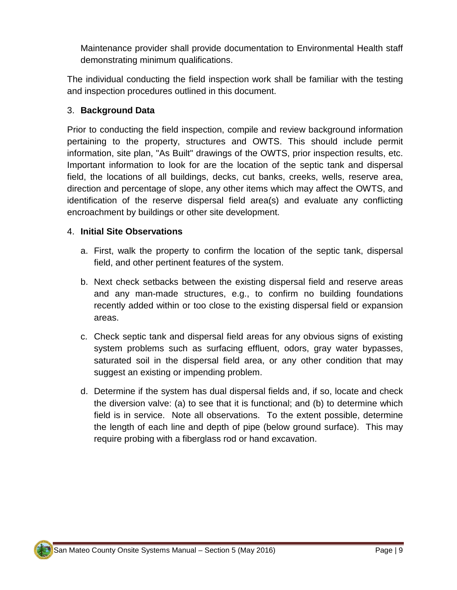Maintenance provider shall provide documentation to Environmental Health staff demonstrating minimum qualifications.

The individual conducting the field inspection work shall be familiar with the testing and inspection procedures outlined in this document.

## 3. **Background Data**

Prior to conducting the field inspection, compile and review background information pertaining to the property, structures and OWTS. This should include permit information, site plan, "As Built" drawings of the OWTS, prior inspection results, etc. Important information to look for are the location of the septic tank and dispersal field, the locations of all buildings, decks, cut banks, creeks, wells, reserve area, direction and percentage of slope, any other items which may affect the OWTS, and identification of the reserve dispersal field area(s) and evaluate any conflicting encroachment by buildings or other site development.

#### 4. **Initial Site Observations**

- a. First, walk the property to confirm the location of the septic tank, dispersal field, and other pertinent features of the system.
- b. Next check setbacks between the existing dispersal field and reserve areas and any man-made structures, e.g., to confirm no building foundations recently added within or too close to the existing dispersal field or expansion areas.
- c. Check septic tank and dispersal field areas for any obvious signs of existing system problems such as surfacing effluent, odors, gray water bypasses, saturated soil in the dispersal field area, or any other condition that may suggest an existing or impending problem.
- d. Determine if the system has dual dispersal fields and, if so, locate and check the diversion valve: (a) to see that it is functional; and (b) to determine which field is in service. Note all observations. To the extent possible, determine the length of each line and depth of pipe (below ground surface). This may require probing with a fiberglass rod or hand excavation.

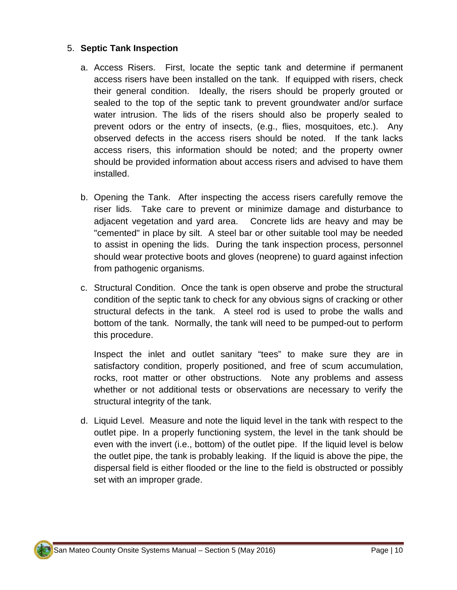## 5. **Septic Tank Inspection**

- a. Access Risers.First, locate the septic tank and determine if permanent access risers have been installed on the tank. If equipped with risers, check their general condition. Ideally, the risers should be properly grouted or sealed to the top of the septic tank to prevent groundwater and/or surface water intrusion. The lids of the risers should also be properly sealed to prevent odors or the entry of insects, (e.g., flies, mosquitoes, etc.). Any observed defects in the access risers should be noted. If the tank lacks access risers, this information should be noted; and the property owner should be provided information about access risers and advised to have them installed.
- b. Opening the Tank. After inspecting the access risers carefully remove the riser lids. Take care to prevent or minimize damage and disturbance to adjacent vegetation and yard area. Concrete lids are heavy and may be "cemented" in place by silt. A steel bar or other suitable tool may be needed to assist in opening the lids. During the tank inspection process, personnel should wear protective boots and gloves (neoprene) to guard against infection from pathogenic organisms.
- c. Structural Condition. Once the tank is open observe and probe the structural condition of the septic tank to check for any obvious signs of cracking or other structural defects in the tank. A steel rod is used to probe the walls and bottom of the tank. Normally, the tank will need to be pumped-out to perform this procedure.

Inspect the inlet and outlet sanitary "tees" to make sure they are in satisfactory condition, properly positioned, and free of scum accumulation, rocks, root matter or other obstructions. Note any problems and assess whether or not additional tests or observations are necessary to verify the structural integrity of the tank.

d. Liquid Level. Measure and note the liquid level in the tank with respect to the outlet pipe. In a properly functioning system, the level in the tank should be even with the invert (i.e., bottom) of the outlet pipe. If the liquid level is below the outlet pipe, the tank is probably leaking. If the liquid is above the pipe, the dispersal field is either flooded or the line to the field is obstructed or possibly set with an improper grade.

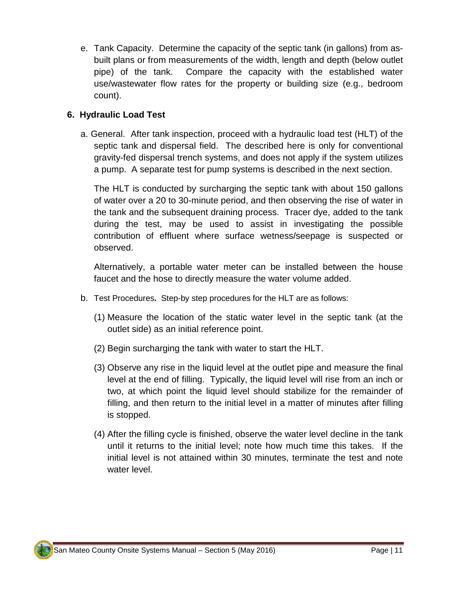e. Tank Capacity. Determine the capacity of the septic tank (in gallons) from asbuilt plans or from measurements of the width, length and depth (below outlet pipe) of the tank. Compare the capacity with the established water use/wastewater flow rates for the property or building size (e.g., bedroom count).

# **6. Hydraulic Load Test**

a. General. After tank inspection, proceed with a hydraulic load test (HLT) of the septic tank and dispersal field. The described here is only for conventional gravity-fed dispersal trench systems, and does not apply if the system utilizes a pump. A separate test for pump systems is described in the next section.

The HLT is conducted by surcharging the septic tank with about 150 gallons of water over a 20 to 30-minute period, and then observing the rise of water in the tank and the subsequent draining process. Tracer dye, added to the tank during the test, may be used to assist in investigating the possible contribution of effluent where surface wetness/seepage is suspected or observed.

Alternatively, a portable water meter can be installed between the house faucet and the hose to directly measure the water volume added.

- b. Test Procedures**.** Step-by step procedures for the HLT are as follows:
	- (1) Measure the location of the static water level in the septic tank (at the outlet side) as an initial reference point.
	- (2) Begin surcharging the tank with water to start the HLT.
	- (3) Observe any rise in the liquid level at the outlet pipe and measure the final level at the end of filling. Typically, the liquid level will rise from an inch or two, at which point the liquid level should stabilize for the remainder of filling, and then return to the initial level in a matter of minutes after filling is stopped.
	- (4) After the filling cycle is finished, observe the water level decline in the tank until it returns to the initial level; note how much time this takes. If the initial level is not attained within 30 minutes, terminate the test and note water level.

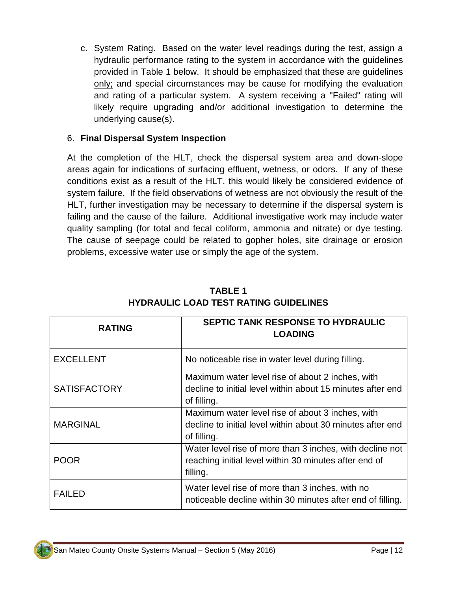c. System Rating.Based on the water level readings during the test, assign a hydraulic performance rating to the system in accordance with the guidelines provided in Table 1 below. It should be emphasized that these are guidelines only; and special circumstances may be cause for modifying the evaluation and rating of a particular system. A system receiving a "Failed" rating will likely require upgrading and/or additional investigation to determine the underlying cause(s).

## 6. **Final Dispersal System Inspection**

At the completion of the HLT, check the dispersal system area and down-slope areas again for indications of surfacing effluent, wetness, or odors. If any of these conditions exist as a result of the HLT, this would likely be considered evidence of system failure. If the field observations of wetness are not obviously the result of the HLT, further investigation may be necessary to determine if the dispersal system is failing and the cause of the failure. Additional investigative work may include water quality sampling (for total and fecal coliform, ammonia and nitrate) or dye testing. The cause of seepage could be related to gopher holes, site drainage or erosion problems, excessive water use or simply the age of the system.

| <b>RATING</b>       | SEPTIC TANK RESPONSE TO HYDRAULIC<br><b>LOADING</b>                                                                           |  |  |
|---------------------|-------------------------------------------------------------------------------------------------------------------------------|--|--|
| <b>EXCELLENT</b>    | No noticeable rise in water level during filling.                                                                             |  |  |
| <b>SATISFACTORY</b> | Maximum water level rise of about 2 inches, with<br>decline to initial level within about 15 minutes after end<br>of filling. |  |  |
| <b>MARGINAL</b>     | Maximum water level rise of about 3 inches, with<br>decline to initial level within about 30 minutes after end<br>of filling. |  |  |
| POOR                | Water level rise of more than 3 inches, with decline not<br>reaching initial level within 30 minutes after end of<br>filling. |  |  |
| <b>FAILED</b>       | Water level rise of more than 3 inches, with no<br>noticeable decline within 30 minutes after end of filling.                 |  |  |

# **TABLE 1 HYDRAULIC LOAD TEST RATING GUIDELINES**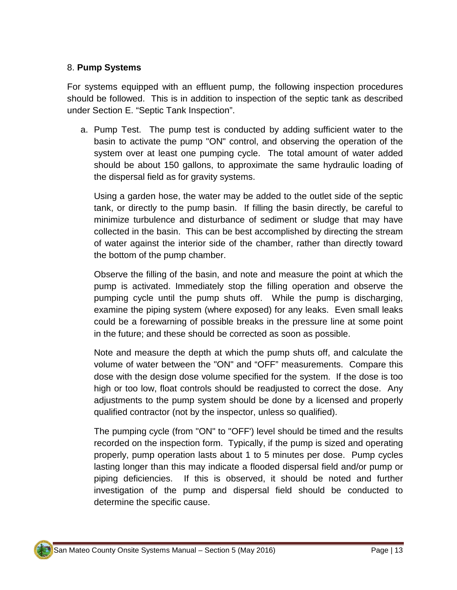#### 8. **Pump Systems**

For systems equipped with an effluent pump, the following inspection procedures should be followed. This is in addition to inspection of the septic tank as described under Section E. "Septic Tank Inspection".

a. Pump Test.The pump test is conducted by adding sufficient water to the basin to activate the pump "ON" control, and observing the operation of the system over at least one pumping cycle. The total amount of water added should be about 150 gallons, to approximate the same hydraulic loading of the dispersal field as for gravity systems.

Using a garden hose, the water may be added to the outlet side of the septic tank, or directly to the pump basin. If filling the basin directly, be careful to minimize turbulence and disturbance of sediment or sludge that may have collected in the basin. This can be best accomplished by directing the stream of water against the interior side of the chamber, rather than directly toward the bottom of the pump chamber.

Observe the filling of the basin, and note and measure the point at which the pump is activated. Immediately stop the filling operation and observe the pumping cycle until the pump shuts off. While the pump is discharging, examine the piping system (where exposed) for any leaks. Even small leaks could be a forewarning of possible breaks in the pressure line at some point in the future; and these should be corrected as soon as possible.

Note and measure the depth at which the pump shuts off, and calculate the volume of water between the "ON" and "OFF" measurements. Compare this dose with the design dose volume specified for the system. If the dose is too high or too low, float controls should be readjusted to correct the dose. Any adjustments to the pump system should be done by a licensed and properly qualified contractor (not by the inspector, unless so qualified).

The pumping cycle (from "ON" to "OFF') level should be timed and the results recorded on the inspection form. Typically, if the pump is sized and operating properly, pump operation lasts about 1 to 5 minutes per dose. Pump cycles lasting longer than this may indicate a flooded dispersal field and/or pump or piping deficiencies. If this is observed, it should be noted and further investigation of the pump and dispersal field should be conducted to determine the specific cause.